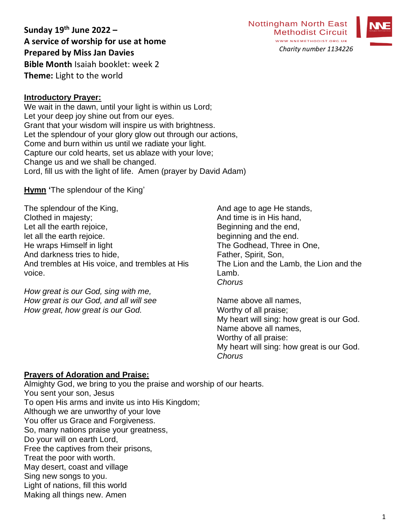**Sunday 19 th June 2022 – A service of worship for use at home Prepared by Miss Jan Davies Bible Month** Isaiah booklet: week 2 **Theme:** Light to the world



**Introductory Prayer:**

We wait in the dawn, until your light is within us Lord; Let your deep joy shine out from our eyes. Grant that your wisdom will inspire us with brightness. Let the splendour of your glory glow out through our actions, Come and burn within us until we radiate your light. Capture our cold hearts, set us ablaze with your love; Change us and we shall be changed. Lord, fill us with the light of life. Amen (prayer by David Adam)

**Hymn '**The splendour of the King'

The splendour of the King, Clothed in majesty; Let all the earth rejoice, let all the earth rejoice. He wraps Himself in light And darkness tries to hide, And trembles at His voice, and trembles at His voice.

*How great is our God, sing with me, How great is our God, and all will see How great, how great is our God.*

And age to age He stands, And time is in His hand, Beginning and the end, beginning and the end. The Godhead, Three in One, Father, Spirit, Son, The Lion and the Lamb, the Lion and the Lamb. *Chorus*

Name above all names, Worthy of all praise; My heart will sing: how great is our God. Name above all names, Worthy of all praise: My heart will sing: how great is our God. *Chorus*

#### **Prayers of Adoration and Praise:**

Almighty God, we bring to you the praise and worship of our hearts. You sent your son, Jesus To open His arms and invite us into His Kingdom; Although we are unworthy of your love You offer us Grace and Forgiveness. So, many nations praise your greatness, Do your will on earth Lord, Free the captives from their prisons, Treat the poor with worth. May desert, coast and village Sing new songs to you. Light of nations, fill this world Making all things new. Amen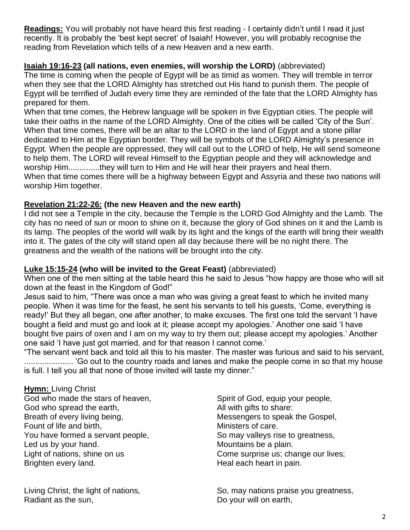**Readings:** You will probably not have heard this first reading - I certainly didn't until I read it just recently. It is probably the 'best kept secret' of Isaiah! However, you will probably recognise the reading from Revelation which tells of a new Heaven and a new earth.

# **Isaiah 19:16-23 (all nations, even enemies, will worship the LORD)** (abbreviated)

The time is coming when the people of Egypt will be as timid as women. They will tremble in terror when they see that the LORD Almighty has stretched out His hand to punish them. The people of Egypt will be terrified of Judah every time they are reminded of the fate that the LORD Almighty has prepared for them.

When that time comes, the Hebrew language will be spoken in five Egyptian cities. The people will take their oaths in the name of the LORD Almighty. One of the cities will be called 'City of the Sun'. When that time comes, there will be an altar to the LORD in the land of Egypt and a stone pillar dedicated to Him at the Egyptian border. They will be symbols of the LORD Almighty's presence in Egypt. When the people are oppressed, they will call out to the LORD of help, He will send someone to help them. The LORD will reveal Himself to the Egyptian people and they will acknowledge and worship Him..............they will turn to Him and He will hear their prayers and heal them. When that time comes there will be a highway between Egypt and Assyria and these two nations will worship Him together.

# **Revelation 21:22-26: (the new Heaven and the new earth)**

I did not see a Temple in the city, because the Temple is the LORD God Almighty and the Lamb. The city has no need of sun or moon to shine on it, because the glory of God shines on it and the Lamb is its lamp. The peoples of the world will walk by its light and the kings of the earth will bring their wealth into it. The gates of the city will stand open all day because there will be no night there. The greatness and the wealth of the nations will be brought into the city.

# **Luke 15:15-24 (who will be invited to the Great Feast)** (abbreviated)

When one of the men sitting at the table heard this he said to Jesus "how happy are those who will sit down at the feast in the Kingdom of God!"

Jesus said to him, "There was once a man who was giving a great feast to which he invited many people. When it was time for the feast, he sent his servants to tell his guests, 'Come, everything is ready!' But they all began, one after another, to make excuses. The first one told the servant 'I have bought a field and must go and look at it; please accept my apologies.' Another one said 'I have bought five pairs of oxen and I am on my way to try them out; please accept my apologies.' Another one said 'I have just got married, and for that reason I cannot come.'

"The servant went back and told all this to his master. The master was furious and said to his servant, ...................... 'Go out to the country roads and lanes and make the people come in so that my house is full. I tell you all that none of those invited will taste my dinner."

# **Hymn:** Living Christ

God who made the stars of heaven, Spirit of God, equip your people, God who spread the earth, Sall with gifts to share: Breath of every living being, The Messengers to speak the Gospel, Fount of life and birth, The Ministers of care. You have formed a servant people, So may valleys rise to greatness, Led us by your hand. The same state of the Mountains be a plain. Light of nations, shine on us **Come surprise us**; change our lives; Brighten every land. The same state of the Heal each heart in pain.

Radiant as the sun, **Example 20** Section 20 and 20 Section 20 and 20 your will on earth,

Living Christ, the light of nations, So, may nations praise you greatness, Living Christ, the light of nations,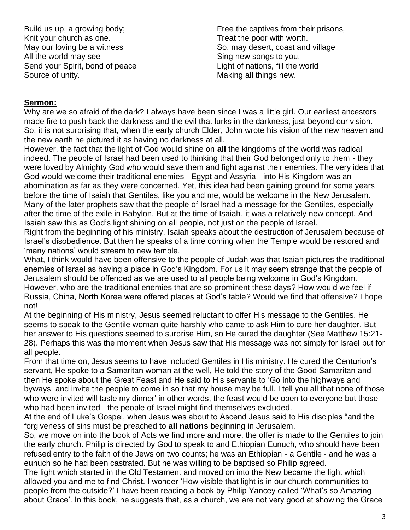Knit your church as one. Treat the poor with worth. All the world may see  $\sim$  Sing new songs to you. Send your Spirit, bond of peace Light of nations, fill the world Source of unity. The same state of unity. The same state of the Making all things new.

Build us up, a growing body; example and the captives from their prisons, May our loving be a witness So, may desert, coast and village

### **Sermon:**

Why are we so afraid of the dark? I always have been since I was a little girl. Our earliest ancestors made fire to push back the darkness and the evil that lurks in the darkness, just beyond our vision. So, it is not surprising that, when the early church Elder, John wrote his vision of the new heaven and the new earth he pictured it as having no darkness at all.

However, the fact that the light of God would shine on **all** the kingdoms of the world was radical indeed. The people of Israel had been used to thinking that their God belonged only to them - they were loved by Almighty God who would save them and fight against their enemies. The very idea that God would welcome their traditional enemies - Egypt and Assyria - into His Kingdom was an abomination as far as they were concerned. Yet, this idea had been gaining ground for some years before the time of Isaiah that Gentiles, like you and me, would be welcome in the New Jerusalem. Many of the later prophets saw that the people of Israel had a message for the Gentiles, especially after the time of the exile in Babylon. But at the time of Isaiah, it was a relatively new concept. And Isaiah saw this as God's light shining on all people, not just on the people of Israel.

Right from the beginning of his ministry, Isaiah speaks about the destruction of Jerusalem because of Israel's disobedience. But then he speaks of a time coming when the Temple would be restored and 'many nations' would stream to new temple.

What, I think would have been offensive to the people of Judah was that Isaiah pictures the traditional enemies of Israel as having a place in God's Kingdom. For us it may seem strange that the people of Jerusalem should be offended as we are used to all people being welcome in God's Kingdom. However, who are the traditional enemies that are so prominent these days? How would we feel if Russia, China, North Korea were offered places at God's table? Would we find that offensive? I hope not!

At the beginning of His ministry, Jesus seemed reluctant to offer His message to the Gentiles. He seems to speak to the Gentile woman quite harshly who came to ask Him to cure her daughter. But her answer to His questions seemed to surprise Him, so He cured the daughter (See Matthew 15:21- 28). Perhaps this was the moment when Jesus saw that His message was not simply for Israel but for all people.

From that time on, Jesus seems to have included Gentiles in His ministry. He cured the Centurion's servant, He spoke to a Samaritan woman at the well, He told the story of the Good Samaritan and then He spoke about the Great Feast and He said to His servants to 'Go into the highways and byways and invite the people to come in so that my house may be full. I tell you all that none of those who were invited will taste my dinner' in other words, the feast would be open to everyone but those who had been invited - the people of Israel might find themselves excluded.

At the end of Luke's Gospel, when Jesus was about to Ascend Jesus said to His disciples "and the forgiveness of sins must be preached to **all nations** beginning in Jerusalem.

So, we move on into the book of Acts we find more and more, the offer is made to the Gentiles to join the early church. Philip is directed by God to speak to and Ethiopian Eunuch, who should have been refused entry to the faith of the Jews on two counts; he was an Ethiopian - a Gentile - and he was a eunuch so he had been castrated. But he was willing to be baptised so Philip agreed.

The light which started in the Old Testament and moved on into the New became the light which allowed you and me to find Christ. I wonder 'How visible that light is in our church communities to people from the outside?' I have been reading a book by Philip Yancey called 'What's so Amazing about Grace'. In this book, he suggests that, as a church, we are not very good at showing the Grace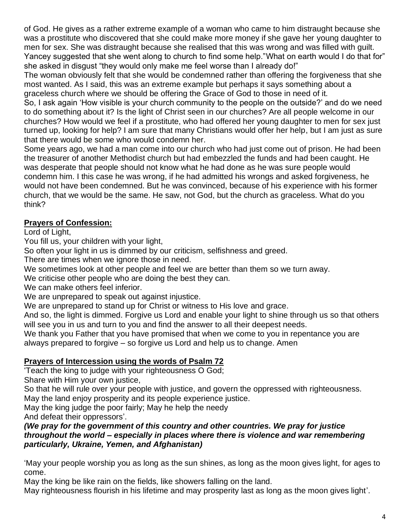of God. He gives as a rather extreme example of a woman who came to him distraught because she was a prostitute who discovered that she could make more money if she gave her young daughter to men for sex. She was distraught because she realised that this was wrong and was filled with guilt. Yancey suggested that she went along to church to find some help."What on earth would I do that for" she asked in disgust "they would only make me feel worse than I already do!"

The woman obviously felt that she would be condemned rather than offering the forgiveness that she most wanted. As I said, this was an extreme example but perhaps it says something about a graceless church where we should be offering the Grace of God to those in need of it.

So, I ask again 'How visible is your church community to the people on the outside?' and do we need to do something about it? Is the light of Christ seen in our churches? Are all people welcome in our churches? How would we feel if a prostitute, who had offered her young daughter to men for sex just turned up, looking for help? I am sure that many Christians would offer her help, but I am just as sure that there would be some who would condemn her.

Some years ago, we had a man come into our church who had just come out of prison. He had been the treasurer of another Methodist church but had embezzled the funds and had been caught. He was desperate that people should not know what he had done as he was sure people would condemn him. I this case he was wrong, if he had admitted his wrongs and asked forgiveness, he would not have been condemned. But he was convinced, because of his experience with his former church, that we would be the same. He saw, not God, but the church as graceless. What do you think?

# **Prayers of Confession:**

Lord of Light,

You fill us, your children with your light,

So often your light in us is dimmed by our criticism, selfishness and greed.

There are times when we ignore those in need.

We sometimes look at other people and feel we are better than them so we turn away.

We criticise other people who are doing the best they can.

We can make others feel inferior.

We are unprepared to speak out against injustice.

We are unprepared to stand up for Christ or witness to His love and grace.

And so, the light is dimmed. Forgive us Lord and enable your light to shine through us so that others will see you in us and turn to you and find the answer to all their deepest needs.

We thank you Father that you have promised that when we come to you in repentance you are always prepared to forgive – so forgive us Lord and help us to change. Amen

# **Prayers of Intercession using the words of Psalm 72**

'Teach the king to judge with your righteousness O God; Share with Him your own justice,

So that he will rule over your people with justice, and govern the oppressed with righteousness. May the land enjoy prosperity and its people experience justice.

May the king judge the poor fairly; May he help the needy

And defeat their oppressors'.

# *(We pray for the government of this country and other countries. We pray for justice throughout the world – especially in places where there is violence and war remembering particularly, Ukraine, Yemen, and Afghanistan)*

'May your people worship you as long as the sun shines, as long as the moon gives light, for ages to come.

May the king be like rain on the fields, like showers falling on the land.

May righteousness flourish in his lifetime and may prosperity last as long as the moon gives light'.